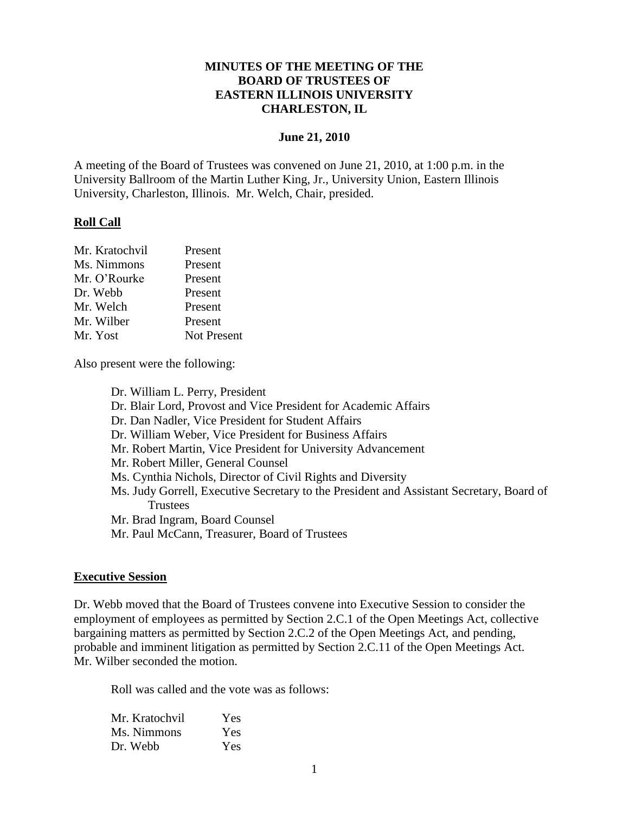### **MINUTES OF THE MEETING OF THE BOARD OF TRUSTEES OF EASTERN ILLINOIS UNIVERSITY CHARLESTON, IL**

#### **June 21, 2010**

A meeting of the Board of Trustees was convened on June 21, 2010, at 1:00 p.m. in the University Ballroom of the Martin Luther King, Jr., University Union, Eastern Illinois University, Charleston, Illinois. Mr. Welch, Chair, presided.

#### **Roll Call**

| Present            |
|--------------------|
| Present            |
| Present            |
| Present            |
| Present            |
| Present            |
| <b>Not Present</b> |
|                    |

Also present were the following:

Dr. William L. Perry, President Dr. Blair Lord, Provost and Vice President for Academic Affairs Dr. Dan Nadler, Vice President for Student Affairs Dr. William Weber, Vice President for Business Affairs Mr. Robert Martin, Vice President for University Advancement Mr. Robert Miller, General Counsel Ms. Cynthia Nichols, Director of Civil Rights and Diversity Ms. Judy Gorrell, Executive Secretary to the President and Assistant Secretary, Board of **Trustees** Mr. Brad Ingram, Board Counsel Mr. Paul McCann, Treasurer, Board of Trustees

#### **Executive Session**

Dr. Webb moved that the Board of Trustees convene into Executive Session to consider the employment of employees as permitted by Section 2.C.1 of the Open Meetings Act, collective bargaining matters as permitted by Section 2.C.2 of the Open Meetings Act, and pending, probable and imminent litigation as permitted by Section 2.C.11 of the Open Meetings Act. Mr. Wilber seconded the motion.

Roll was called and the vote was as follows:

| Mr. Kratochvil | Yes |
|----------------|-----|
| Ms. Nimmons    | Yes |
| Dr. Webb       | Yes |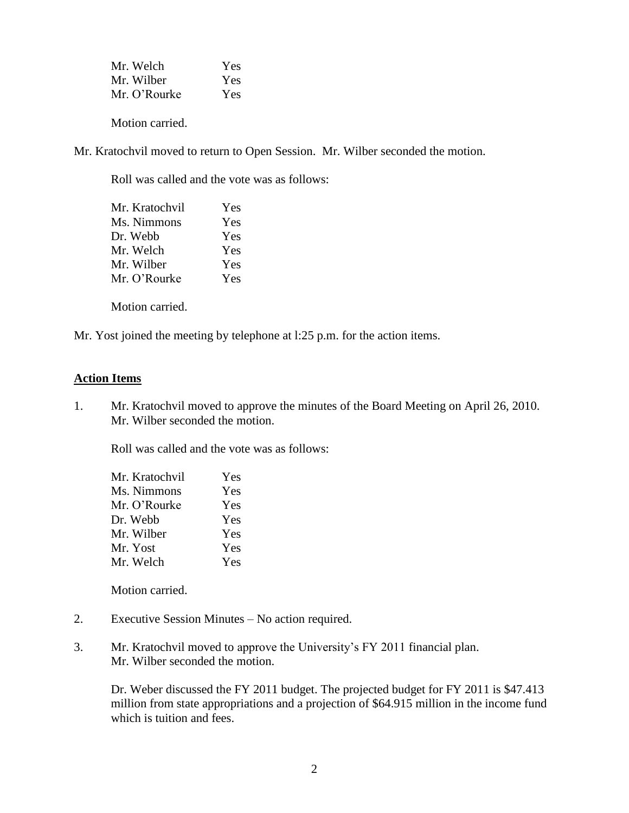| Mr. Welch    | Yes |
|--------------|-----|
| Mr. Wilber   | Yes |
| Mr. O'Rourke | Yes |

Motion carried.

Mr. Kratochvil moved to return to Open Session. Mr. Wilber seconded the motion.

Roll was called and the vote was as follows:

| Mr. Kratochvil | Yes        |
|----------------|------------|
| Ms. Nimmons    | Yes        |
| Dr. Webb       | <b>Yes</b> |
| Mr. Welch      | <b>Yes</b> |
| Mr. Wilber     | Yes        |
| Mr. O'Rourke   | <b>Yes</b> |
|                |            |

Motion carried.

Mr. Yost joined the meeting by telephone at l:25 p.m. for the action items.

#### **Action Items**

1. Mr. Kratochvil moved to approve the minutes of the Board Meeting on April 26, 2010. Mr. Wilber seconded the motion.

Roll was called and the vote was as follows:

| Mr. Kratochvil | Yes |
|----------------|-----|
| Ms. Nimmons    | Yes |
| Mr. O'Rourke   | Yes |
| Dr. Webb       | Yes |
| Mr. Wilber     | Yes |
| Mr. Yost       | Yes |
| Mr. Welch      | Yes |

Motion carried.

- 2. Executive Session Minutes No action required.
- 3. Mr. Kratochvil moved to approve the University's FY 2011 financial plan. Mr. Wilber seconded the motion.

Dr. Weber discussed the FY 2011 budget. The projected budget for FY 2011 is \$47.413 million from state appropriations and a projection of \$64.915 million in the income fund which is tuition and fees.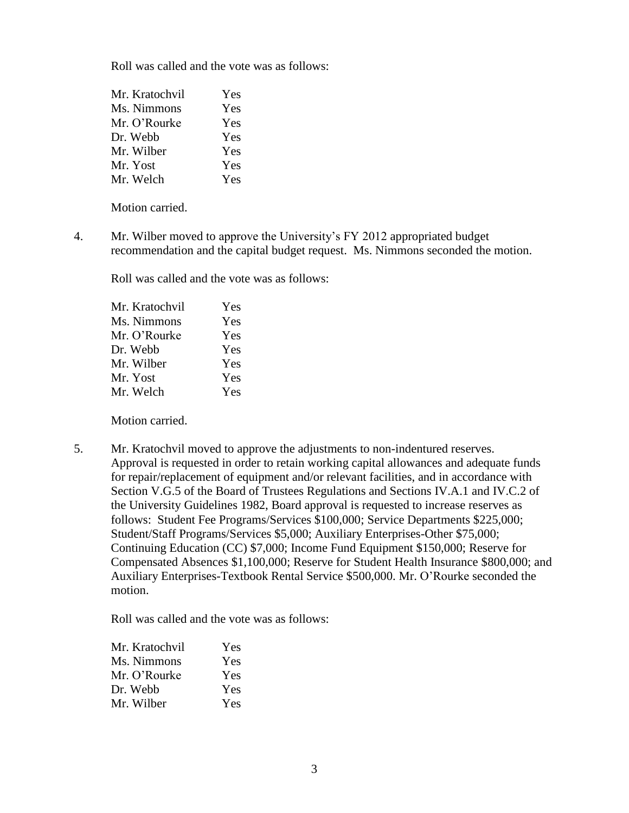Roll was called and the vote was as follows:

| Mr. Kratochvil | Yes |
|----------------|-----|
| Ms. Nimmons    | Yes |
| Mr. O'Rourke   | Yes |
| Dr. Webb       | Yes |
| Mr. Wilber     | Yes |
| Mr. Yost       | Yes |
| Mr. Welch      | Yes |

Motion carried.

4. Mr. Wilber moved to approve the University's FY 2012 appropriated budget recommendation and the capital budget request. Ms. Nimmons seconded the motion.

Roll was called and the vote was as follows:

| Mr. Kratochvil | Yes |
|----------------|-----|
| Ms. Nimmons    | Yes |
| Mr. O'Rourke   | Yes |
| Dr. Webb       | Yes |
| Mr. Wilber     | Yes |
| Mr. Yost       | Yes |
| Mr. Welch      | Yes |
|                |     |

Motion carried.

5. Mr. Kratochvil moved to approve the adjustments to non-indentured reserves. Approval is requested in order to retain working capital allowances and adequate funds for repair/replacement of equipment and/or relevant facilities, and in accordance with Section V.G.5 of the Board of Trustees Regulations and Sections IV.A.1 and IV.C.2 of the University Guidelines 1982, Board approval is requested to increase reserves as follows: Student Fee Programs/Services \$100,000; Service Departments \$225,000; Student/Staff Programs/Services \$5,000; Auxiliary Enterprises-Other \$75,000; Continuing Education (CC) \$7,000; Income Fund Equipment \$150,000; Reserve for Compensated Absences \$1,100,000; Reserve for Student Health Insurance \$800,000; and Auxiliary Enterprises-Textbook Rental Service \$500,000. Mr. O'Rourke seconded the motion.

Roll was called and the vote was as follows:

| Mr. Kratochvil | Yes.       |
|----------------|------------|
| Ms. Nimmons    | Yes        |
| Mr. O'Rourke   | <b>Yes</b> |
| Dr. Webb       | <b>Yes</b> |
| Mr. Wilber     | <b>Yes</b> |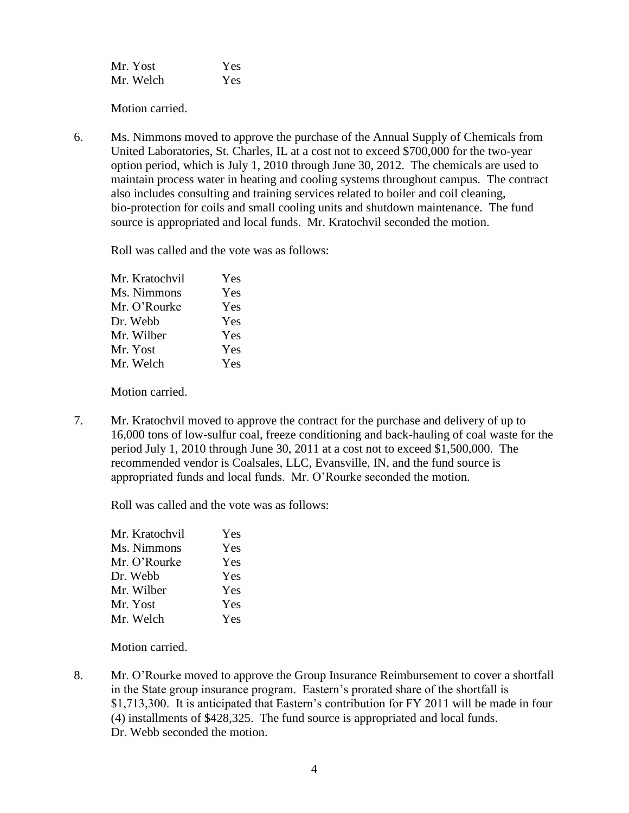| Mr. Yost  | Yes |
|-----------|-----|
| Mr. Welch | Yes |

Motion carried.

6. Ms. Nimmons moved to approve the purchase of the Annual Supply of Chemicals from United Laboratories, St. Charles, IL at a cost not to exceed \$700,000 for the two-year option period, which is July 1, 2010 through June 30, 2012. The chemicals are used to maintain process water in heating and cooling systems throughout campus. The contract also includes consulting and training services related to boiler and coil cleaning, bio-protection for coils and small cooling units and shutdown maintenance. The fund source is appropriated and local funds. Mr. Kratochvil seconded the motion.

Roll was called and the vote was as follows:

| Mr. Kratochvil | Yes |
|----------------|-----|
| Ms. Nimmons    | Yes |
| Mr. O'Rourke   | Yes |
| Dr. Webb       | Yes |
| Mr. Wilber     | Yes |
| Mr. Yost       | Yes |
| Mr. Welch      | Yes |
|                |     |

Motion carried.

7. Mr. Kratochvil moved to approve the contract for the purchase and delivery of up to 16,000 tons of low-sulfur coal, freeze conditioning and back-hauling of coal waste for the period July 1, 2010 through June 30, 2011 at a cost not to exceed \$1,500,000. The recommended vendor is Coalsales, LLC, Evansville, IN, and the fund source is appropriated funds and local funds. Mr. O'Rourke seconded the motion.

Roll was called and the vote was as follows:

| Mr. Kratochvil | Yes |
|----------------|-----|
| Ms. Nimmons    | Yes |
| Mr. O'Rourke   | Yes |
| Dr. Webb       | Yes |
| Mr. Wilber     | Yes |
| Mr. Yost       | Yes |
| Mr. Welch      | Yes |

Motion carried.

8. Mr. O'Rourke moved to approve the Group Insurance Reimbursement to cover a shortfall in the State group insurance program. Eastern's prorated share of the shortfall is \$1,713,300. It is anticipated that Eastern's contribution for FY 2011 will be made in four (4) installments of \$428,325. The fund source is appropriated and local funds. Dr. Webb seconded the motion.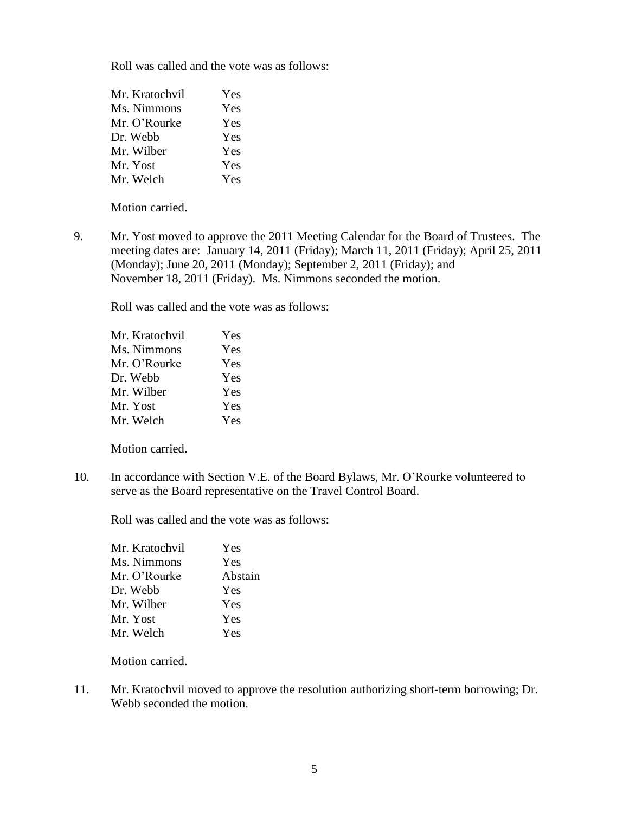Roll was called and the vote was as follows:

| Mr. Kratochvil | Yes |
|----------------|-----|
| Ms. Nimmons    | Yes |
| Mr. O'Rourke   | Yes |
| Dr. Webb       | Yes |
| Mr. Wilber     | Yes |
| Mr. Yost       | Yes |
| Mr. Welch      | Yes |

Motion carried.

9. Mr. Yost moved to approve the 2011 Meeting Calendar for the Board of Trustees. The meeting dates are: January 14, 2011 (Friday); March 11, 2011 (Friday); April 25, 2011 (Monday); June 20, 2011 (Monday); September 2, 2011 (Friday); and November 18, 2011 (Friday). Ms. Nimmons seconded the motion.

Roll was called and the vote was as follows:

| Yes |
|-----|
| Yes |
| Yes |
| Yes |
| Yes |
| Yes |
| Yes |
|     |

Motion carried.

10. In accordance with Section V.E. of the Board Bylaws, Mr. O'Rourke volunteered to serve as the Board representative on the Travel Control Board.

Roll was called and the vote was as follows:

| Mr. Kratochvil | Yes     |
|----------------|---------|
| Ms. Nimmons    | Yes     |
| Mr. O'Rourke   | Abstain |
| Dr. Webb       | Yes     |
| Mr. Wilber     | Yes     |
| Mr. Yost       | Yes     |
| Mr. Welch      | Yes     |

Motion carried.

11. Mr. Kratochvil moved to approve the resolution authorizing short-term borrowing; Dr. Webb seconded the motion.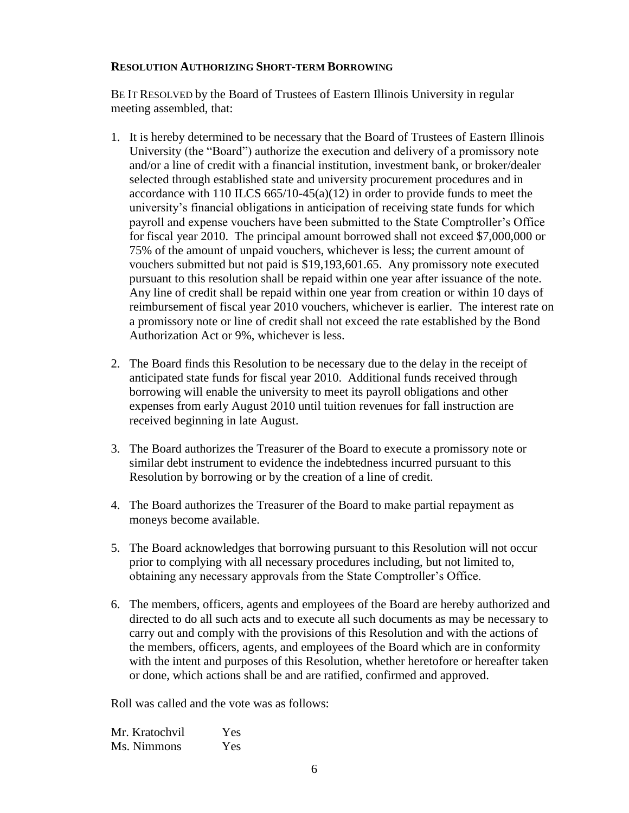#### **RESOLUTION AUTHORIZING SHORT-TERM BORROWING**

BE IT RESOLVED by the Board of Trustees of Eastern Illinois University in regular meeting assembled, that:

- 1. It is hereby determined to be necessary that the Board of Trustees of Eastern Illinois University (the "Board") authorize the execution and delivery of a promissory note and/or a line of credit with a financial institution, investment bank, or broker/dealer selected through established state and university procurement procedures and in accordance with 110 ILCS  $665/10-45(a)(12)$  in order to provide funds to meet the university's financial obligations in anticipation of receiving state funds for which payroll and expense vouchers have been submitted to the State Comptroller's Office for fiscal year 2010. The principal amount borrowed shall not exceed \$7,000,000 or 75% of the amount of unpaid vouchers, whichever is less; the current amount of vouchers submitted but not paid is \$19,193,601.65. Any promissory note executed pursuant to this resolution shall be repaid within one year after issuance of the note. Any line of credit shall be repaid within one year from creation or within 10 days of reimbursement of fiscal year 2010 vouchers, whichever is earlier. The interest rate on a promissory note or line of credit shall not exceed the rate established by the Bond Authorization Act or 9%, whichever is less.
- 2. The Board finds this Resolution to be necessary due to the delay in the receipt of anticipated state funds for fiscal year 2010. Additional funds received through borrowing will enable the university to meet its payroll obligations and other expenses from early August 2010 until tuition revenues for fall instruction are received beginning in late August.
- 3. The Board authorizes the Treasurer of the Board to execute a promissory note or similar debt instrument to evidence the indebtedness incurred pursuant to this Resolution by borrowing or by the creation of a line of credit.
- 4. The Board authorizes the Treasurer of the Board to make partial repayment as moneys become available.
- 5. The Board acknowledges that borrowing pursuant to this Resolution will not occur prior to complying with all necessary procedures including, but not limited to, obtaining any necessary approvals from the State Comptroller's Office.
- 6. The members, officers, agents and employees of the Board are hereby authorized and directed to do all such acts and to execute all such documents as may be necessary to carry out and comply with the provisions of this Resolution and with the actions of the members, officers, agents, and employees of the Board which are in conformity with the intent and purposes of this Resolution, whether heretofore or hereafter taken or done, which actions shall be and are ratified, confirmed and approved.

Roll was called and the vote was as follows:

| Mr. Kratochvil | Yes |
|----------------|-----|
| Ms. Nimmons    | Yes |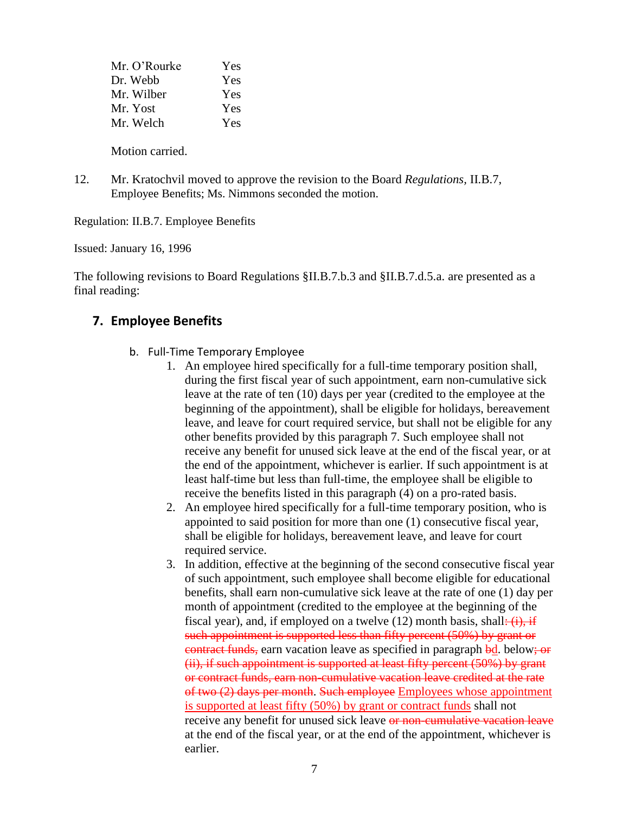| Mr. O'Rourke | Yes |
|--------------|-----|
| Dr. Webb     | Yes |
| Mr. Wilber   | Yes |
| Mr. Yost     | Yes |
| Mr. Welch    | Yes |
|              |     |

Motion carried.

12. Mr. Kratochvil moved to approve the revision to the Board *Regulations,* II.B.7, Employee Benefits; Ms. Nimmons seconded the motion.

Regulation: II.B.7. Employee Benefits

Issued: January 16, 1996

The following revisions to Board Regulations §II.B.7.b.3 and §II.B.7.d.5.a. are presented as a final reading:

# **7. Employee Benefits**

- b. Full-Time Temporary Employee
	- 1. An employee hired specifically for a full-time temporary position shall, during the first fiscal year of such appointment, earn non-cumulative sick leave at the rate of ten (10) days per year (credited to the employee at the beginning of the appointment), shall be eligible for holidays, bereavement leave, and leave for court required service, but shall not be eligible for any other benefits provided by this paragraph 7. Such employee shall not receive any benefit for unused sick leave at the end of the fiscal year, or at the end of the appointment, whichever is earlier. If such appointment is at least half-time but less than full-time, the employee shall be eligible to receive the benefits listed in this paragraph (4) on a pro-rated basis.
	- 2. An employee hired specifically for a full-time temporary position, who is appointed to said position for more than one (1) consecutive fiscal year, shall be eligible for holidays, bereavement leave, and leave for court required service.
	- 3. In addition, effective at the beginning of the second consecutive fiscal year of such appointment, such employee shall become eligible for educational benefits, shall earn non-cumulative sick leave at the rate of one (1) day per month of appointment (credited to the employee at the beginning of the fiscal year), and, if employed on a twelve  $(12)$  month basis, shall:  $(i)$ , if such appointment is supported less than fifty percent (50%) by grant or contract funds, earn vacation leave as specified in paragraph bd. below; or (ii), if such appointment is supported at least fifty percent (50%) by grant or contract funds, earn non-cumulative vacation leave credited at the rate of two (2) days per month. Such employee Employees whose appointment is supported at least fifty (50%) by grant or contract funds shall not receive any benefit for unused sick leave or non-cumulative vacation leave at the end of the fiscal year, or at the end of the appointment, whichever is earlier.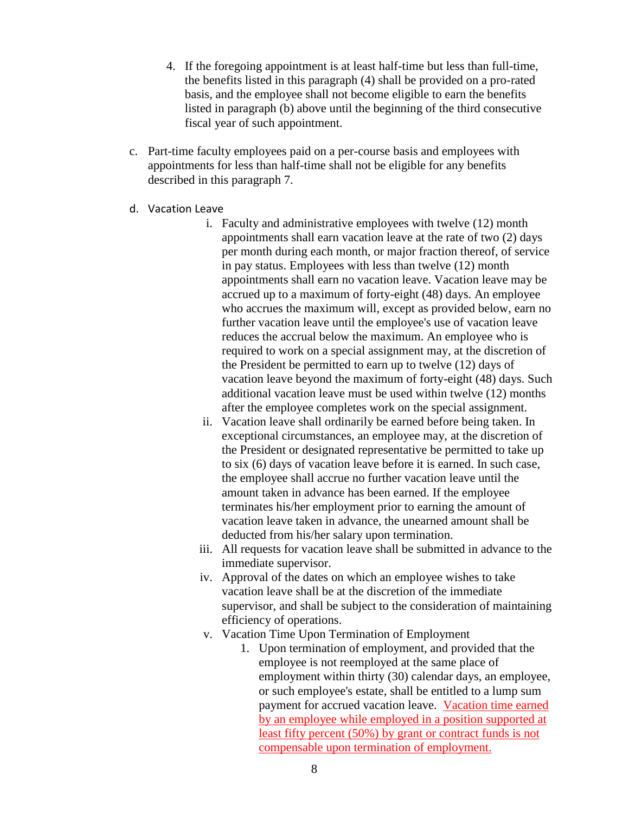- 4. If the foregoing appointment is at least half-time but less than full-time, the benefits listed in this paragraph (4) shall be provided on a pro-rated basis, and the employee shall not become eligible to earn the benefits listed in paragraph (b) above until the beginning of the third consecutive fiscal year of such appointment.
- c. Part-time faculty employees paid on a per-course basis and employees with appointments for less than half-time shall not be eligible for any benefits described in this paragraph 7.
- d. Vacation Leave
	- i. Faculty and administrative employees with twelve (12) month appointments shall earn vacation leave at the rate of two (2) days per month during each month, or major fraction thereof, of service in pay status. Employees with less than twelve (12) month appointments shall earn no vacation leave. Vacation leave may be accrued up to a maximum of forty-eight (48) days. An employee who accrues the maximum will, except as provided below, earn no further vacation leave until the employee's use of vacation leave reduces the accrual below the maximum. An employee who is required to work on a special assignment may, at the discretion of the President be permitted to earn up to twelve (12) days of vacation leave beyond the maximum of forty-eight (48) days. Such additional vacation leave must be used within twelve (12) months after the employee completes work on the special assignment.
	- ii. Vacation leave shall ordinarily be earned before being taken. In exceptional circumstances, an employee may, at the discretion of the President or designated representative be permitted to take up to six (6) days of vacation leave before it is earned. In such case, the employee shall accrue no further vacation leave until the amount taken in advance has been earned. If the employee terminates his/her employment prior to earning the amount of vacation leave taken in advance, the unearned amount shall be deducted from his/her salary upon termination.
	- iii. All requests for vacation leave shall be submitted in advance to the immediate supervisor.
	- iv. Approval of the dates on which an employee wishes to take vacation leave shall be at the discretion of the immediate supervisor, and shall be subject to the consideration of maintaining efficiency of operations.
	- v. Vacation Time Upon Termination of Employment
		- 1. Upon termination of employment, and provided that the employee is not reemployed at the same place of employment within thirty (30) calendar days, an employee, or such employee's estate, shall be entitled to a lump sum payment for accrued vacation leave. Vacation time earned by an employee while employed in a position supported at least fifty percent (50%) by grant or contract funds is not compensable upon termination of employment.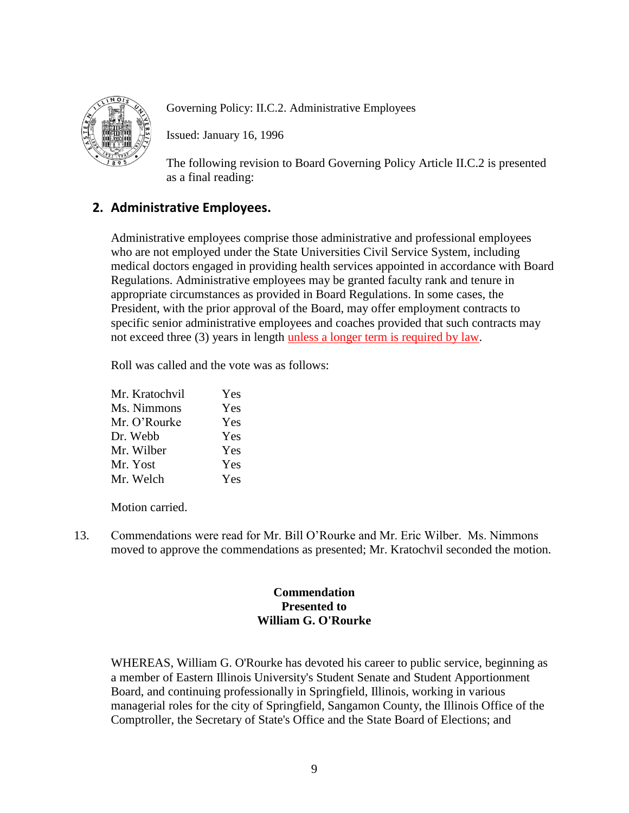

Governing Policy: II.C.2. Administrative Employees

Issued: January 16, 1996

The following revision to Board Governing Policy Article II.C.2 is presented as a final reading:

# **2. Administrative Employees.**

Administrative employees comprise those administrative and professional employees who are not employed under the State Universities Civil Service System, including medical doctors engaged in providing health services appointed in accordance with Board Regulations. Administrative employees may be granted faculty rank and tenure in appropriate circumstances as provided in Board Regulations. In some cases, the President, with the prior approval of the Board, may offer employment contracts to specific senior administrative employees and coaches provided that such contracts may not exceed three (3) years in length unless a longer term is required by law.

Roll was called and the vote was as follows:

| Mr. Kratochvil | Yes |
|----------------|-----|
| Ms. Nimmons    | Yes |
| Mr. O'Rourke   | Yes |
| Dr. Webb       | Yes |
| Mr. Wilber     | Yes |
| Mr. Yost       | Yes |
| Mr. Welch      | Yes |

Motion carried.

13. Commendations were read for Mr. Bill O'Rourke and Mr. Eric Wilber. Ms. Nimmons moved to approve the commendations as presented; Mr. Kratochvil seconded the motion.

# **Commendation Presented to William G. O'Rourke**

WHEREAS, William G. O'Rourke has devoted his career to public service, beginning as a member of Eastern Illinois University's Student Senate and Student Apportionment Board, and continuing professionally in Springfield, Illinois, working in various managerial roles for the city of Springfield, Sangamon County, the Illinois Office of the Comptroller, the Secretary of State's Office and the State Board of Elections; and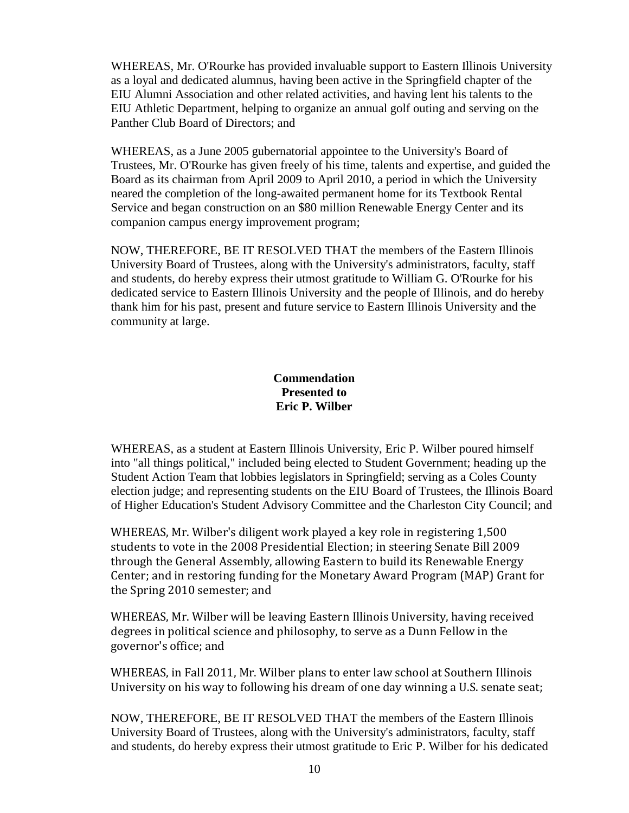WHEREAS, Mr. O'Rourke has provided invaluable support to Eastern Illinois University as a loyal and dedicated alumnus, having been active in the Springfield chapter of the EIU Alumni Association and other related activities, and having lent his talents to the EIU Athletic Department, helping to organize an annual golf outing and serving on the Panther Club Board of Directors; and

WHEREAS, as a June 2005 gubernatorial appointee to the University's Board of Trustees, Mr. O'Rourke has given freely of his time, talents and expertise, and guided the Board as its chairman from April 2009 to April 2010, a period in which the University neared the completion of the long-awaited permanent home for its Textbook Rental Service and began construction on an \$80 million Renewable Energy Center and its companion campus energy improvement program;

NOW, THEREFORE, BE IT RESOLVED THAT the members of the Eastern Illinois University Board of Trustees, along with the University's administrators, faculty, staff and students, do hereby express their utmost gratitude to William G. O'Rourke for his dedicated service to Eastern Illinois University and the people of Illinois, and do hereby thank him for his past, present and future service to Eastern Illinois University and the community at large.

# **Commendation Presented to Eric P. Wilber**

WHEREAS, as a student at Eastern Illinois University, Eric P. Wilber poured himself into "all things political," included being elected to Student Government; heading up the Student Action Team that lobbies legislators in Springfield; serving as a Coles County election judge; and representing students on the EIU Board of Trustees, the Illinois Board of Higher Education's Student Advisory Committee and the Charleston City Council; and

WHEREAS, Mr. Wilber's diligent work played a key role in registering 1,500 students to vote in the 2008 Presidential Election; in steering Senate Bill 2009 through the General Assembly, allowing Eastern to build its Renewable Energy Center; and in restoring funding for the Monetary Award Program (MAP) Grant for the Spring 2010 semester; and

WHEREAS, Mr. Wilber will be leaving Eastern Illinois University, having received degrees in political science and philosophy, to serve as a Dunn Fellow in the governor's office; and

WHEREAS, in Fall 2011, Mr. Wilber plans to enter law school at Southern Illinois University on his way to following his dream of one day winning a U.S. senate seat;

NOW, THEREFORE, BE IT RESOLVED THAT the members of the Eastern Illinois University Board of Trustees, along with the University's administrators, faculty, staff and students, do hereby express their utmost gratitude to Eric P. Wilber for his dedicated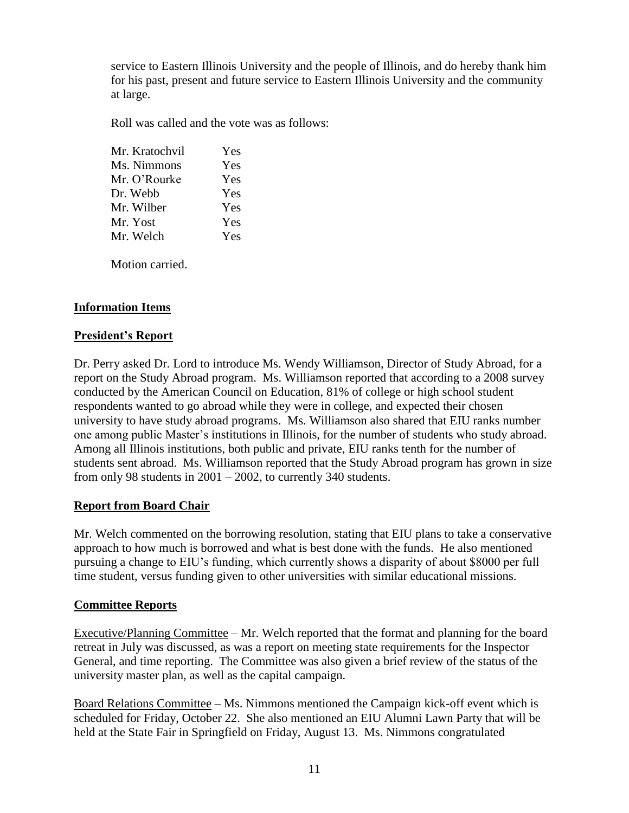service to Eastern Illinois University and the people of Illinois, and do hereby thank him for his past, present and future service to Eastern Illinois University and the community at large.

Roll was called and the vote was as follows:

| Mr. Kratochvil | Yes |
|----------------|-----|
| Ms. Nimmons    | Yes |
| Mr. O'Rourke   | Yes |
| Dr. Webb       | Yes |
| Mr. Wilber     | Yes |
| Mr. Yost       | Yes |
| Mr. Welch      | Yes |
|                |     |

Motion carried.

# **Information Items**

### **President's Report**

Dr. Perry asked Dr. Lord to introduce Ms. Wendy Williamson, Director of Study Abroad, for a report on the Study Abroad program. Ms. Williamson reported that according to a 2008 survey conducted by the American Council on Education, 81% of college or high school student respondents wanted to go abroad while they were in college, and expected their chosen university to have study abroad programs. Ms. Williamson also shared that EIU ranks number one among public Master's institutions in Illinois, for the number of students who study abroad. Among all Illinois institutions, both public and private, EIU ranks tenth for the number of students sent abroad. Ms. Williamson reported that the Study Abroad program has grown in size from only 98 students in 2001 – 2002, to currently 340 students.

# **Report from Board Chair**

Mr. Welch commented on the borrowing resolution, stating that EIU plans to take a conservative approach to how much is borrowed and what is best done with the funds. He also mentioned pursuing a change to EIU's funding, which currently shows a disparity of about \$8000 per full time student, versus funding given to other universities with similar educational missions.

# **Committee Reports**

Executive/Planning Committee – Mr. Welch reported that the format and planning for the board retreat in July was discussed, as was a report on meeting state requirements for the Inspector General, and time reporting. The Committee was also given a brief review of the status of the university master plan, as well as the capital campaign.

Board Relations Committee – Ms. Nimmons mentioned the Campaign kick-off event which is scheduled for Friday, October 22. She also mentioned an EIU Alumni Lawn Party that will be held at the State Fair in Springfield on Friday, August 13. Ms. Nimmons congratulated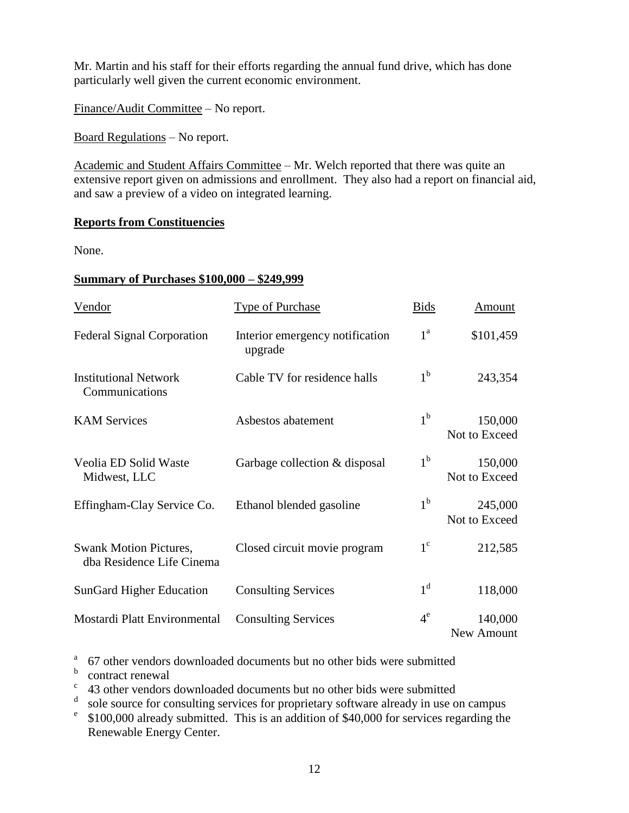Mr. Martin and his staff for their efforts regarding the annual fund drive, which has done particularly well given the current economic environment.

Finance/Audit Committee – No report.

Board Regulations – No report.

Academic and Student Affairs Committee – Mr. Welch reported that there was quite an extensive report given on admissions and enrollment. They also had a report on financial aid, and saw a preview of a video on integrated learning.

### **Reports from Constituencies**

None.

### **Summary of Purchases \$100,000 – \$249,999**

| Vendor                                                     | <b>Type of Purchase</b>                    | <b>Bids</b>      | Amount                   |
|------------------------------------------------------------|--------------------------------------------|------------------|--------------------------|
| <b>Federal Signal Corporation</b>                          | Interior emergency notification<br>upgrade | $1^{\mathrm{a}}$ | \$101,459                |
| <b>Institutional Network</b><br>Communications             | Cable TV for residence halls               | 1 <sup>b</sup>   | 243,354                  |
| <b>KAM Services</b>                                        | Asbestos abatement                         | 1 <sup>b</sup>   | 150,000<br>Not to Exceed |
| Veolia ED Solid Waste<br>Midwest, LLC                      | Garbage collection & disposal              | 1 <sup>b</sup>   | 150,000<br>Not to Exceed |
| Effingham-Clay Service Co.                                 | Ethanol blended gasoline                   | 1 <sup>b</sup>   | 245,000<br>Not to Exceed |
| <b>Swank Motion Pictures,</b><br>dba Residence Life Cinema | Closed circuit movie program               | $1^{\circ}$      | 212,585                  |
| <b>SunGard Higher Education</b>                            | <b>Consulting Services</b>                 | 1 <sup>d</sup>   | 118,000                  |
| Mostardi Platt Environmental                               | <b>Consulting Services</b>                 | $4^e$            | 140,000<br>New Amount    |

<sup>a</sup> 67 other vendors downloaded documents but no other bids were submitted

**b** contract renewal

<sup>c</sup> 43 other vendors downloaded documents but no other bids were submitted

<sup>d</sup> sole source for consulting services for proprietary software already in use on campus

e \$100,000 already submitted. This is an addition of \$40,000 for services regarding the Renewable Energy Center.